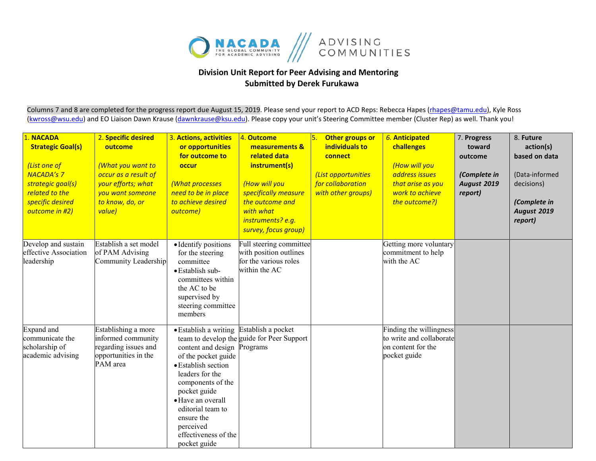

## **Division Unit Report for Peer Advising and Mentoring Submitted by Derek Furukawa**

Columns 7 and 8 are completed for the progress report due August 15, 2019. Please send your report to ACD Reps: Rebecca Hapes (rhapes@tamu.edu), Kyle Ross [\(kwross@wsu.edu\)](mailto:kwross@wsu.edu) and EO Liaison Dawn Krause (dawnkrause@ksu.edu). Please copy your unit's Steering Committee member (Cluster Rep) as well. Thank you!

| 1. NACADA<br><b>Strategic Goal(s)</b><br>(List one of<br><b>NACADA's 7</b><br>strategic goal(s)<br>related to the<br>specific desired<br>outcome in #2) | 2. Specific desired<br>outcome<br>(What you want to<br>occur as a result of<br>your efforts; what<br>you want someone<br>to know, do, or<br>value) | 3. Actions, activities<br>or opportunities<br>for outcome to<br>occur<br>(What processes<br>need to be in place<br>to achieve desired<br>outcome)                                                                                                                                          | 4. Outcome<br>measurements &<br>related data<br>instrument(s)<br>(How will you<br>specifically measure<br>the outcome and<br>with what<br>instruments? e.g.<br>survey, focus group) | 5.<br>Other groups or<br>individuals to<br>connect<br>(List opportunities<br>for collaboration<br>with other groups) | 6. Anticipated<br>challenges<br>(How will you<br>address issues<br>that arise as you<br>work to achieve<br>the outcome?) | 7. Progress<br>toward<br>outcome<br>(Complete in<br><b>August 2019</b><br>report) | 8. Future<br>action(s)<br>based on data<br>(Data-informed<br>decisions)<br>(Complete in<br>August 2019<br>report) |
|---------------------------------------------------------------------------------------------------------------------------------------------------------|----------------------------------------------------------------------------------------------------------------------------------------------------|--------------------------------------------------------------------------------------------------------------------------------------------------------------------------------------------------------------------------------------------------------------------------------------------|-------------------------------------------------------------------------------------------------------------------------------------------------------------------------------------|----------------------------------------------------------------------------------------------------------------------|--------------------------------------------------------------------------------------------------------------------------|-----------------------------------------------------------------------------------|-------------------------------------------------------------------------------------------------------------------|
| Develop and sustain<br>effective Association<br>leadership                                                                                              | Establish a set model<br>of PAM Advising<br>Community Leadership                                                                                   | • Identify positions<br>for the steering<br>committee<br>· Establish sub-<br>committees within<br>the AC to be<br>supervised by<br>steering committee<br>members                                                                                                                           | Full steering committee<br>with position outlines<br>for the various roles<br>within the AC                                                                                         |                                                                                                                      | Getting more voluntary<br>commitment to help<br>with the AC                                                              |                                                                                   |                                                                                                                   |
| Expand and<br>communicate the<br>scholarship of<br>academic advising                                                                                    | Establishing a more<br>informed community<br>regarding issues and<br>opportunities in the<br>PAM area                                              | · Establish a writing Establish a pocket<br>content and design Programs<br>of the pocket guide<br>• Establish section<br>leaders for the<br>components of the<br>pocket guide<br>• Have an overall<br>editorial team to<br>ensure the<br>perceived<br>effectiveness of the<br>pocket guide | team to develop the guide for Peer Support                                                                                                                                          |                                                                                                                      | Finding the willingness<br>to write and collaborate<br>on content for the<br>pocket guide                                |                                                                                   |                                                                                                                   |